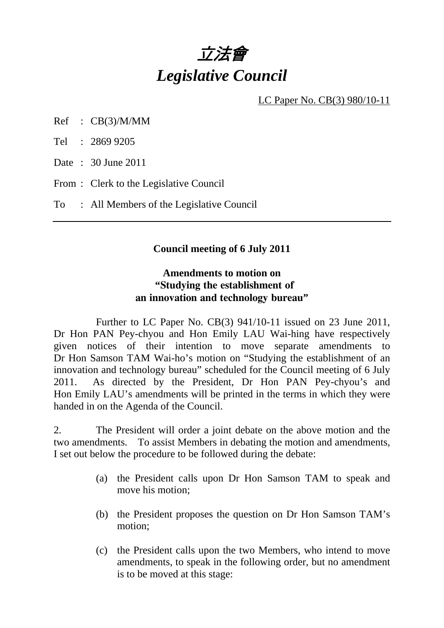

LC Paper No. CB(3) 980/10-11

Ref : CB(3)/M/MM

Tel : 2869 9205

Date : 30 June 2011

From : Clerk to the Legislative Council

To : All Members of the Legislative Council

#### **Council meeting of 6 July 2011**

### **Amendments to motion on "Studying the establishment of an innovation and technology bureau"**

 Further to LC Paper No. CB(3) 941/10-11 issued on 23 June 2011, Dr Hon PAN Pey-chyou and Hon Emily LAU Wai-hing have respectively given notices of their intention to move separate amendments to Dr Hon Samson TAM Wai-ho's motion on "Studying the establishment of an innovation and technology bureau" scheduled for the Council meeting of 6 July 2011. As directed by the President, Dr Hon PAN Pey-chyou's and Hon Emily LAU's amendments will be printed in the terms in which they were handed in on the Agenda of the Council.

2. The President will order a joint debate on the above motion and the two amendments. To assist Members in debating the motion and amendments, I set out below the procedure to be followed during the debate:

- (a) the President calls upon Dr Hon Samson TAM to speak and move his motion;
- (b) the President proposes the question on Dr Hon Samson TAM's motion;
- (c) the President calls upon the two Members, who intend to move amendments, to speak in the following order, but no amendment is to be moved at this stage: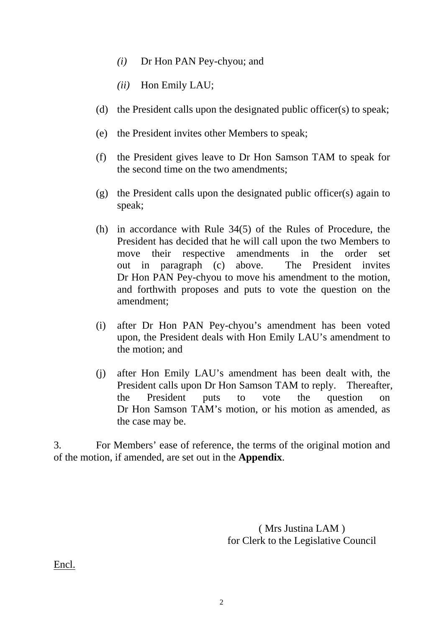- *(i)* Dr Hon PAN Pey-chyou; and
- *(ii)* Hon Emily LAU;
- (d) the President calls upon the designated public officer(s) to speak;
- (e) the President invites other Members to speak;
- (f) the President gives leave to Dr Hon Samson TAM to speak for the second time on the two amendments;
- (g) the President calls upon the designated public officer(s) again to speak;
- (h) in accordance with Rule 34(5) of the Rules of Procedure, the President has decided that he will call upon the two Members to move their respective amendments in the order set out in paragraph (c) above. The President invites Dr Hon PAN Pey-chyou to move his amendment to the motion, and forthwith proposes and puts to vote the question on the amendment;
- (i) after Dr Hon PAN Pey-chyou's amendment has been voted upon, the President deals with Hon Emily LAU's amendment to the motion; and
- (j) after Hon Emily LAU's amendment has been dealt with, the President calls upon Dr Hon Samson TAM to reply. Thereafter, the President puts to vote the question on Dr Hon Samson TAM's motion, or his motion as amended, as the case may be.

3. For Members' ease of reference, the terms of the original motion and of the motion, if amended, are set out in the **Appendix**.

> ( Mrs Justina LAM ) for Clerk to the Legislative Council

Encl.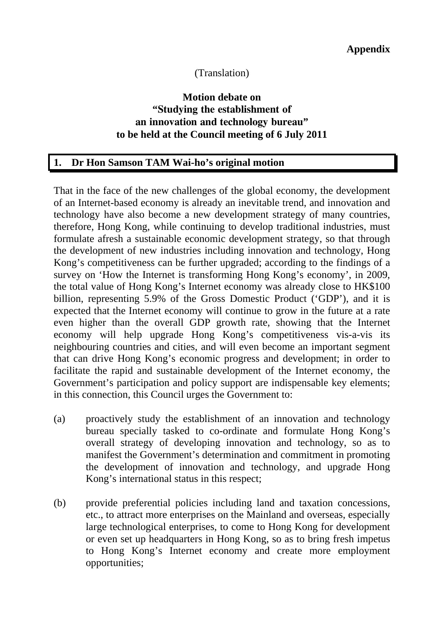### (Translation)

# **Motion debate on "Studying the establishment of an innovation and technology bureau" to be held at the Council meeting of 6 July 2011**

#### **1. Dr Hon Samson TAM Wai-ho's original motion**

That in the face of the new challenges of the global economy, the development of an Internet-based economy is already an inevitable trend, and innovation and technology have also become a new development strategy of many countries, therefore, Hong Kong, while continuing to develop traditional industries, must formulate afresh a sustainable economic development strategy, so that through the development of new industries including innovation and technology, Hong Kong's competitiveness can be further upgraded; according to the findings of a survey on 'How the Internet is transforming Hong Kong's economy', in 2009, the total value of Hong Kong's Internet economy was already close to HK\$100 billion, representing 5.9% of the Gross Domestic Product ('GDP'), and it is expected that the Internet economy will continue to grow in the future at a rate even higher than the overall GDP growth rate, showing that the Internet economy will help upgrade Hong Kong's competitiveness vis-a-vis its neighbouring countries and cities, and will even become an important segment that can drive Hong Kong's economic progress and development; in order to facilitate the rapid and sustainable development of the Internet economy, the Government's participation and policy support are indispensable key elements; in this connection, this Council urges the Government to:

- (a) proactively study the establishment of an innovation and technology bureau specially tasked to co-ordinate and formulate Hong Kong's overall strategy of developing innovation and technology, so as to manifest the Government's determination and commitment in promoting the development of innovation and technology, and upgrade Hong Kong's international status in this respect;
- (b) provide preferential policies including land and taxation concessions, etc., to attract more enterprises on the Mainland and overseas, especially large technological enterprises, to come to Hong Kong for development or even set up headquarters in Hong Kong, so as to bring fresh impetus to Hong Kong's Internet economy and create more employment opportunities;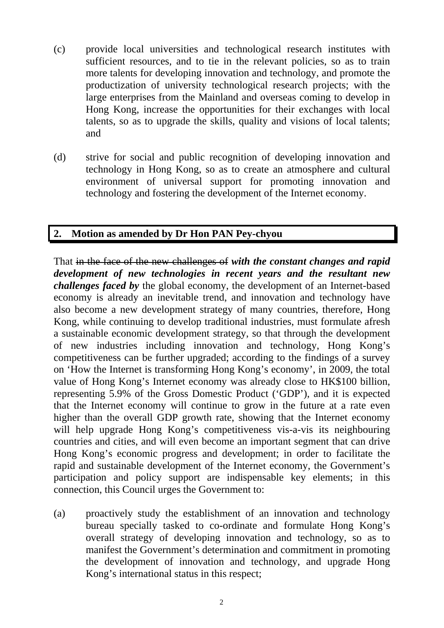- (c) provide local universities and technological research institutes with sufficient resources, and to tie in the relevant policies, so as to train more talents for developing innovation and technology, and promote the productization of university technological research projects; with the large enterprises from the Mainland and overseas coming to develop in Hong Kong, increase the opportunities for their exchanges with local talents, so as to upgrade the skills, quality and visions of local talents; and
- (d) strive for social and public recognition of developing innovation and technology in Hong Kong, so as to create an atmosphere and cultural environment of universal support for promoting innovation and technology and fostering the development of the Internet economy.

# **2. Motion as amended by Dr Hon PAN Pey-chyou**

That in the face of the new challenges of *with the constant changes and rapid development of new technologies in recent years and the resultant new challenges faced by* the global economy, the development of an Internet-based economy is already an inevitable trend, and innovation and technology have also become a new development strategy of many countries, therefore, Hong Kong, while continuing to develop traditional industries, must formulate afresh a sustainable economic development strategy, so that through the development of new industries including innovation and technology, Hong Kong's competitiveness can be further upgraded; according to the findings of a survey on 'How the Internet is transforming Hong Kong's economy', in 2009, the total value of Hong Kong's Internet economy was already close to HK\$100 billion, representing 5.9% of the Gross Domestic Product ('GDP'), and it is expected that the Internet economy will continue to grow in the future at a rate even higher than the overall GDP growth rate, showing that the Internet economy will help upgrade Hong Kong's competitiveness vis-a-vis its neighbouring countries and cities, and will even become an important segment that can drive Hong Kong's economic progress and development; in order to facilitate the rapid and sustainable development of the Internet economy, the Government's participation and policy support are indispensable key elements; in this connection, this Council urges the Government to:

(a) proactively study the establishment of an innovation and technology bureau specially tasked to co-ordinate and formulate Hong Kong's overall strategy of developing innovation and technology, so as to manifest the Government's determination and commitment in promoting the development of innovation and technology, and upgrade Hong Kong's international status in this respect;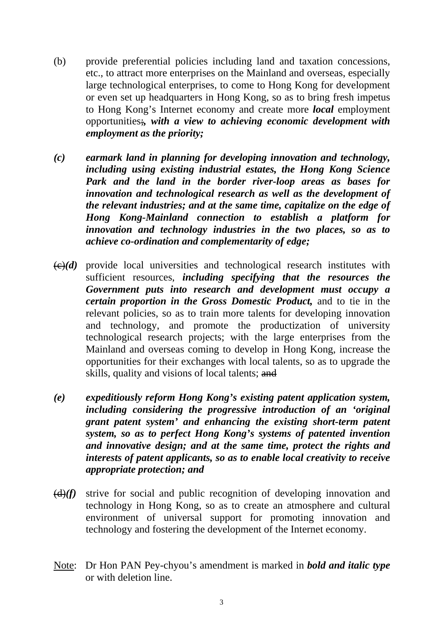- (b) provide preferential policies including land and taxation concessions, etc., to attract more enterprises on the Mainland and overseas, especially large technological enterprises, to come to Hong Kong for development or even set up headquarters in Hong Kong, so as to bring fresh impetus to Hong Kong's Internet economy and create more *local* employment opportunities;*, with a view to achieving economic development with employment as the priority;*
- *(c) earmark land in planning for developing innovation and technology, including using existing industrial estates, the Hong Kong Science Park and the land in the border river-loop areas as bases for innovation and technological research as well as the development of the relevant industries; and at the same time, capitalize on the edge of Hong Kong-Mainland connection to establish a platform for innovation and technology industries in the two places, so as to achieve co-ordination and complementarity of edge;*
- $\left(\frac{c}{c}\right)(d)$  provide local universities and technological research institutes with sufficient resources, *including specifying that the resources the Government puts into research and development must occupy a certain proportion in the Gross Domestic Product,* and to tie in the relevant policies, so as to train more talents for developing innovation and technology, and promote the productization of university technological research projects; with the large enterprises from the Mainland and overseas coming to develop in Hong Kong, increase the opportunities for their exchanges with local talents, so as to upgrade the skills, quality and visions of local talents; and
- *(e) expeditiously reform Hong Kong's existing patent application system, including considering the progressive introduction of an 'original grant patent system' and enhancing the existing short-term patent system, so as to perfect Hong Kong's systems of patented invention and innovative design; and at the same time, protect the rights and interests of patent applicants, so as to enable local creativity to receive appropriate protection; and*
- (d)*(f)* strive for social and public recognition of developing innovation and technology in Hong Kong, so as to create an atmosphere and cultural environment of universal support for promoting innovation and technology and fostering the development of the Internet economy.
- Note: Dr Hon PAN Pey-chyou's amendment is marked in *bold and italic type* or with deletion line.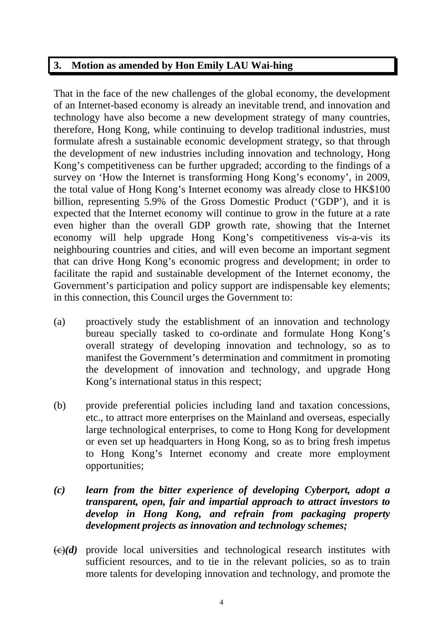# **3. Motion as amended by Hon Emily LAU Wai-hing**

That in the face of the new challenges of the global economy, the development of an Internet-based economy is already an inevitable trend, and innovation and technology have also become a new development strategy of many countries, therefore, Hong Kong, while continuing to develop traditional industries, must formulate afresh a sustainable economic development strategy, so that through the development of new industries including innovation and technology, Hong Kong's competitiveness can be further upgraded; according to the findings of a survey on 'How the Internet is transforming Hong Kong's economy', in 2009, the total value of Hong Kong's Internet economy was already close to HK\$100 billion, representing 5.9% of the Gross Domestic Product ('GDP'), and it is expected that the Internet economy will continue to grow in the future at a rate even higher than the overall GDP growth rate, showing that the Internet economy will help upgrade Hong Kong's competitiveness vis-a-vis its neighbouring countries and cities, and will even become an important segment that can drive Hong Kong's economic progress and development; in order to facilitate the rapid and sustainable development of the Internet economy, the Government's participation and policy support are indispensable key elements; in this connection, this Council urges the Government to:

- (a) proactively study the establishment of an innovation and technology bureau specially tasked to co-ordinate and formulate Hong Kong's overall strategy of developing innovation and technology, so as to manifest the Government's determination and commitment in promoting the development of innovation and technology, and upgrade Hong Kong's international status in this respect;
- (b) provide preferential policies including land and taxation concessions, etc., to attract more enterprises on the Mainland and overseas, especially large technological enterprises, to come to Hong Kong for development or even set up headquarters in Hong Kong, so as to bring fresh impetus to Hong Kong's Internet economy and create more employment opportunities;
- *(c) learn from the bitter experience of developing Cyberport, adopt a transparent, open, fair and impartial approach to attract investors to develop in Hong Kong, and refrain from packaging property development projects as innovation and technology schemes;*
- $\left(\frac{c}{c}\right)(d)$  provide local universities and technological research institutes with sufficient resources, and to tie in the relevant policies, so as to train more talents for developing innovation and technology, and promote the